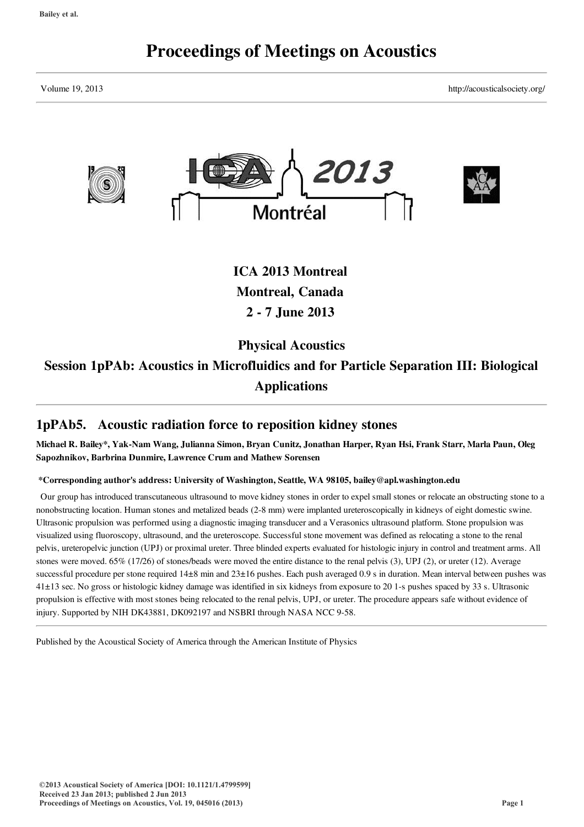# Proceedings of Meetings on Acoustics

Volume 19, 2013 http://acousticalsociety.org/



ICA 2013 Montreal Montreal, Canada 2 - 7 June 2013

Physical Acoustics

Session 1pPAb: Acoustics in Microfluidics and for Particle Separation III: Biological Applications

# 1pPAb5. Acoustic radiation force to reposition kidney stones

Michael R. Bailey\*, Yak-Nam Wang, Julianna Simon, Bryan Cunitz, Jonathan Harper, Ryan Hsi, Frank Starr, Marla Paun, Oleg Sapozhnikov, Barbrina Dunmire, Lawrence Crum and Mathew Sorensen

\*Corresponding author's address: University of Washington, Seattle, WA 98105, bailey@apl.washington.edu

Our group has introduced transcutaneous ultrasound to move kidney stones in order to expel small stones or relocate an obstructing stone to a nonobstructing location. Human stones and metalized beads (2-8 mm) were implanted ureteroscopically in kidneys of eight domestic swine. Ultrasonic propulsion was performed using a diagnostic imaging transducer and a Verasonics ultrasound platform. Stone propulsion was visualized using fluoroscopy, ultrasound, and the ureteroscope. Successful stone movement was defined as relocating a stone to the renal pelvis, ureteropelvic junction (UPJ) or proximal ureter. Three blinded experts evaluated for histologic injury in control and treatment arms. All stones were moved. 65% (17/26) of stones/beads were moved the entire distance to the renal pelvis (3), UPJ (2), or ureter (12). Average successful procedure per stone required  $14\pm 8$  min and  $23\pm 16$  pushes. Each push averaged 0.9 s in duration. Mean interval between pushes was 41±13 sec. No gross or histologic kidney damage was identified in six kidneys from exposure to 20 1-s pushes spaced by 33 s. Ultrasonic propulsion is effective with most stones being relocated to the renal pelvis, UPJ, or ureter. The procedure appears safe without evidence of injury. Supported by NIH DK43881, DK092197 and NSBRI through NASA NCC 9-58.

Published by the Acoustical Society of America through the American Institute of Physics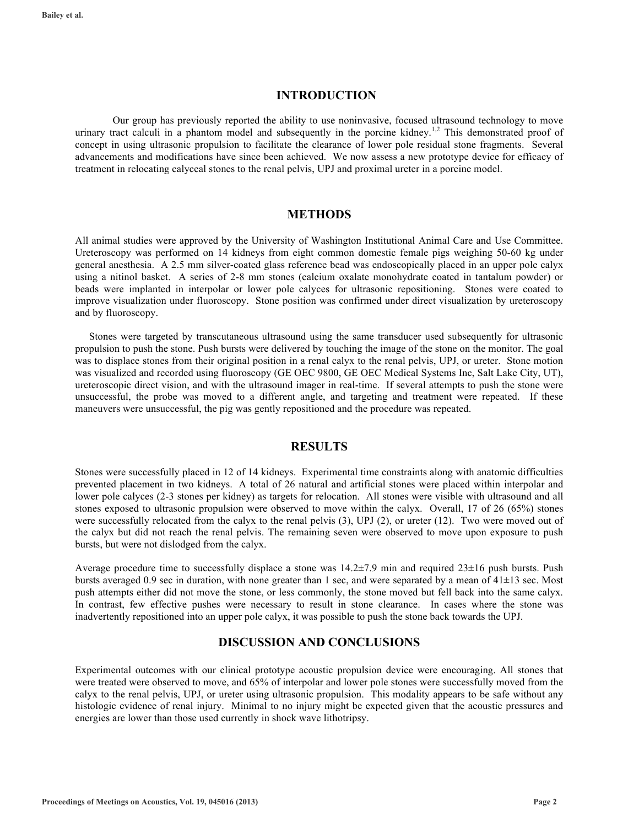#### **INTRODUCTION**

Our group has previously reported the ability to use noninvasive, focused ultrasound technology to move urinary tract calculi in a phantom model and subsequently in the porcine kidney.<sup>1,2</sup> This demonstrated proof of concept in using ultrasonic propulsion to facilitate the clearance of lower pole residual stone fragments. Several advancements and modifications have since been achieved. We now assess a new prototype device for efficacy of treatment in relocating calyceal stones to the renal pelvis, UPJ and proximal ureter in a porcine model.

#### **METHODS**

All animal studies were approved by the University of Washington Institutional Animal Care and Use Committee. Ureteroscopy was performed on 14 kidneys from eight common domestic female pigs weighing 50-60 kg under general anesthesia. A 2.5 mm silver-coated glass reference bead was endoscopically placed in an upper pole calyx using a nitinol basket. A series of 2-8 mm stones (calcium oxalate monohydrate coated in tantalum powder) or beads were implanted in interpolar or lower pole calyces for ultrasonic repositioning. Stones were coated to improve visualization under fluoroscopy. Stone position was confirmed under direct visualization by ureteroscopy and by fluoroscopy.

Stones were targeted by transcutaneous ultrasound using the same transducer used subsequently for ultrasonic propulsion to push the stone. Push bursts were delivered by touching the image of the stone on the monitor. The goal was to displace stones from their original position in a renal calyx to the renal pelvis, UPJ, or ureter. Stone motion was visualized and recorded using fluoroscopy (GE OEC 9800, GE OEC Medical Systems Inc, Salt Lake City, UT), ureteroscopic direct vision, and with the ultrasound imager in real-time. If several attempts to push the stone were unsuccessful, the probe was moved to a different angle, and targeting and treatment were repeated. If these maneuvers were unsuccessful, the pig was gently repositioned and the procedure was repeated.

#### **RESULTS**

Stones were successfully placed in 12 of 14 kidneys. Experimental time constraints along with anatomic difficulties prevented placement in two kidneys. A total of 26 natural and artificial stones were placed within interpolar and lower pole calyces (2-3 stones per kidney) as targets for relocation. All stones were visible with ultrasound and all stones exposed to ultrasonic propulsion were observed to move within the calyx. Overall, 17 of 26 (65%) stones were successfully relocated from the calyx to the renal pelvis  $(3)$ , UPJ  $(2)$ , or ureter  $(12)$ . Two were moved out of the calyx but did not reach the renal pelvis. The remaining seven were observed to move upon exposure to push bursts, but were not dislodged from the calyx.

Average procedure time to successfully displace a stone was 14.2±7.9 min and required 23±16 push bursts. Push bursts averaged 0.9 sec in duration, with none greater than 1 sec, and were separated by a mean of 41±13 sec. Most push attempts either did not move the stone, or less commonly, the stone moved but fell back into the same calyx. In contrast, few effective pushes were necessary to result in stone clearance. In cases where the stone was inadvertently repositioned into an upper pole calyx, it was possible to push the stone back towards the UPJ.

#### **DISCUSSION AND CONCLUSIONS**

Experimental outcomes with our clinical prototype acoustic propulsion device were encouraging. All stones that were treated were observed to move, and 65% of interpolar and lower pole stones were successfully moved from the calyx to the renal pelvis, UPJ, or ureter using ultrasonic propulsion. This modality appears to be safe without any histologic evidence of renal injury. Minimal to no injury might be expected given that the acoustic pressures and energies are lower than those used currently in shock wave lithotripsy.